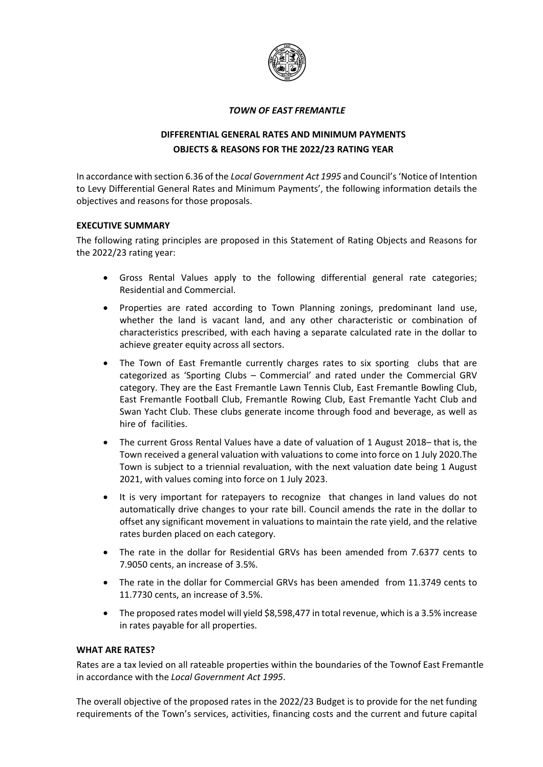

#### *TOWN OF EAST FREMANTLE*

# **DIFFERENTIAL GENERAL RATES AND MINIMUM PAYMENTS OBJECTS & REASONS FOR THE 2022/23 RATING YEAR**

In accordance with section 6.36 of the *Local Government Act 1995* and Council's'Notice of Intention to Levy Differential General Rates and Minimum Payments', the following information details the objectives and reasons for those proposals.

## **EXECUTIVE SUMMARY**

The following rating principles are proposed in this Statement of Rating Objects and Reasons for the 2022/23 rating year:

- Gross Rental Values apply to the following differential general rate categories; Residential and Commercial.
- Properties are rated according to Town Planning zonings, predominant land use, whether the land is vacant land, and any other characteristic or combination of characteristics prescribed, with each having a separate calculated rate in the dollar to achieve greater equity across all sectors.
- The Town of East Fremantle currently charges rates to six sporting clubs that are categorized as 'Sporting Clubs – Commercial' and rated under the Commercial GRV category. They are the East Fremantle Lawn Tennis Club, East Fremantle Bowling Club, East Fremantle Football Club, Fremantle Rowing Club, East Fremantle Yacht Club and Swan Yacht Club. These clubs generate income through food and beverage, as well as hire of facilities.
- The current Gross Rental Values have a date of valuation of 1 August 2018– that is, the Town received a general valuation with valuations to come into force on 1 July 2020.The Town is subject to a triennial revaluation, with the next valuation date being 1 August 2021, with values coming into force on 1 July 2023.
- It is very important for ratepayers to recognize that changes in land values do not automatically drive changes to your rate bill. Council amends the rate in the dollar to offset any significant movement in valuations to maintain the rate yield, and the relative rates burden placed on each category.
- The rate in the dollar for Residential GRVs has been amended from 7.6377 cents to 7.9050 cents, an increase of 3.5%.
- The rate in the dollar for Commercial GRVs has been amended from 11.3749 cents to 11.7730 cents, an increase of 3.5%.
- The proposed rates model will yield \$8,598,477 in total revenue, which is a 3.5% increase in rates payable for all properties.

## **WHAT ARE RATES?**

Rates are a tax levied on all rateable properties within the boundaries of the Townof East Fremantle in accordance with the *Local Government Act 1995*.

The overall objective of the proposed rates in the 2022/23 Budget is to provide for the net funding requirements of the Town's services, activities, financing costs and the current and future capital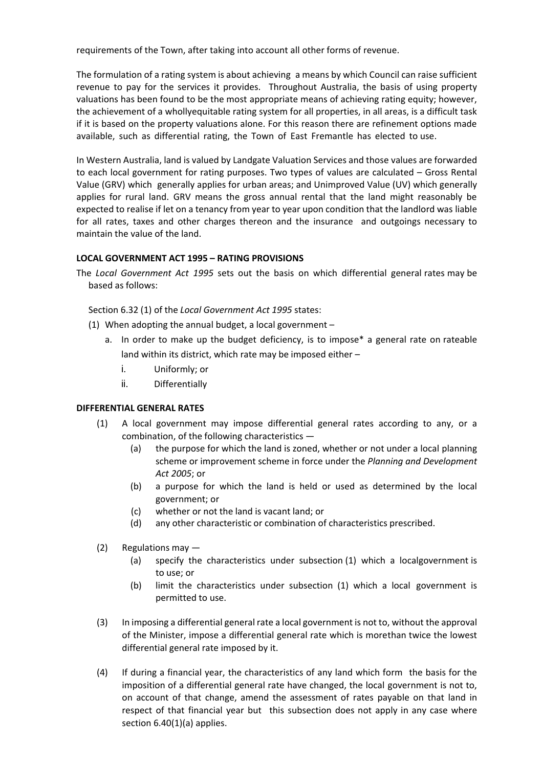requirements of the Town, after taking into account all other forms of revenue.

The formulation of a rating system is about achieving a means by which Council can raise sufficient revenue to pay for the services it provides. Throughout Australia, the basis of using property valuations has been found to be the most appropriate means of achieving rating equity; however, the achievement of a whollyequitable rating system for all properties, in all areas, is a difficult task if it is based on the property valuations alone. For this reason there are refinement options made available, such as differential rating, the Town of East Fremantle has elected to use.

In Western Australia, land is valued by Landgate Valuation Services and those values are forwarded to each local government for rating purposes. Two types of values are calculated – Gross Rental Value (GRV) which generally applies for urban areas; and Unimproved Value (UV) which generally applies for rural land. GRV means the gross annual rental that the land might reasonably be expected to realise if let on a tenancy from year to year upon condition that the landlord was liable for all rates, taxes and other charges thereon and the insurance and outgoings necessary to maintain the value of the land.

## **LOCAL GOVERNMENT ACT 1995 – RATING PROVISIONS**

The *Local Government Act 1995* sets out the basis on which differential general rates may be based as follows:

Section 6.32 (1) of the *Local Government Act 1995* states:

- (1) When adopting the annual budget, a local government
	- a. In order to make up the budget deficiency, is to impose\* a general rate on rateable land within its district, which rate may be imposed either –
		- i. Uniformly; or
		- ii. Differentially

## **DIFFERENTIAL GENERAL RATES**

- (1) A local government may impose differential general rates according to any, or a combination, of the following characteristics —
	- (a) the purpose for which the land is zoned, whether or not under a local planning scheme or improvement scheme in force under the *Planning and Development Act 2005*; or
	- (b) a purpose for which the land is held or used as determined by the local government; or
	- (c) whether or not the land is vacant land; or
	- (d) any other characteristic or combination of characteristics prescribed.
- (2) Regulations may
	- (a) specify the characteristics under subsection (1) which a localgovernment is to use; or
	- (b) limit the characteristics under subsection (1) which a local government is permitted to use.
- (3) In imposing a differential general rate a local government is not to, without the approval of the Minister, impose a differential general rate which is morethan twice the lowest differential general rate imposed by it.
- (4) If during a financial year, the characteristics of any land which form the basis for the imposition of a differential general rate have changed, the local government is not to, on account of that change, amend the assessment of rates payable on that land in respect of that financial year but this subsection does not apply in any case where section 6.40(1)(a) applies.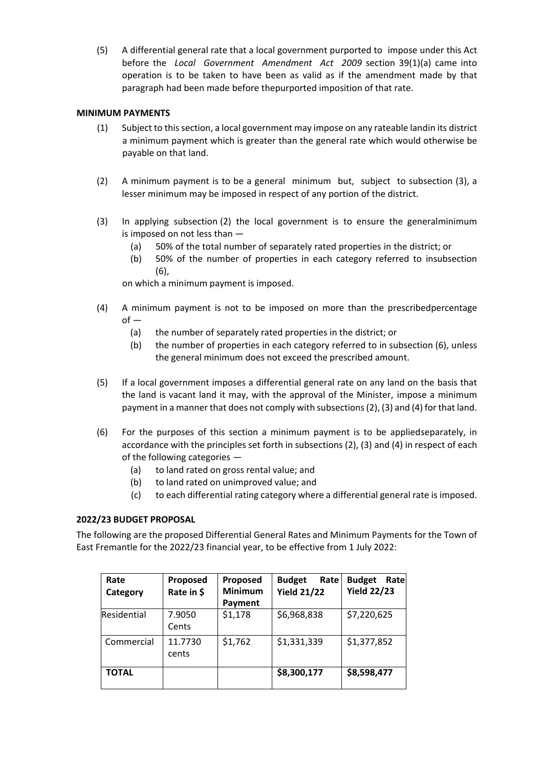(5) A differential general rate that a local government purported to impose under this Act before the *Local Government Amendment Act 2009* section 39(1)(a) came into operation is to be taken to have been as valid as if the amendment made by that paragraph had been made before thepurported imposition of that rate.

## **MINIMUM PAYMENTS**

- (1) Subject to this section, a local government may impose on any rateable landin its district a minimum payment which is greater than the general rate which would otherwise be payable on that land.
- (2) A minimum payment is to be a general minimum but, subject to subsection (3), a lesser minimum may be imposed in respect of any portion of the district.
- (3) In applying subsection (2) the local government is to ensure the generalminimum is imposed on not less than —
	- (a) 50% of the total number of separately rated properties in the district; or
	- (b) 50% of the number of properties in each category referred to insubsection (6),

on which a minimum payment is imposed.

- (4) A minimum payment is not to be imposed on more than the prescribedpercentage  $of -$ 
	- (a) the number of separately rated properties in the district; or
	- (b) the number of properties in each category referred to in subsection (6), unless the general minimum does not exceed the prescribed amount.
- (5) If a local government imposes a differential general rate on any land on the basis that the land is vacant land it may, with the approval of the Minister, impose a minimum payment in a manner that does not comply with subsections(2), (3) and (4) forthat land.
- (6) For the purposes of this section a minimum payment is to be appliedseparately, in accordance with the principles set forth in subsections (2), (3) and (4) in respect of each of the following categories —
	- (a) to land rated on gross rental value; and
	- (b) to land rated on unimproved value; and
	- (c) to each differential rating category where a differential general rate is imposed.

## **2022/23 BUDGET PROPOSAL**

The following are the proposed Differential General Rates and Minimum Payments for the Town of East Fremantle for the 2022/23 financial year, to be effective from 1 July 2022:

| Rate<br>Category | <b>Proposed</b><br>Rate in \$ | Proposed<br><b>Minimum</b><br>Payment | <b>Budget</b><br>Rate<br><b>Yield 21/22</b> | <b>Budget</b><br>Rate<br><b>Yield 22/23</b> |
|------------------|-------------------------------|---------------------------------------|---------------------------------------------|---------------------------------------------|
| Residential      | 7.9050<br>Cents               | \$1,178                               | \$6,968,838                                 | \$7,220,625                                 |
| Commercial       | 11.7730<br>cents              | \$1,762                               | \$1,331,339                                 | \$1,377,852                                 |
| TOTAL            |                               |                                       | \$8,300,177                                 | \$8,598,477                                 |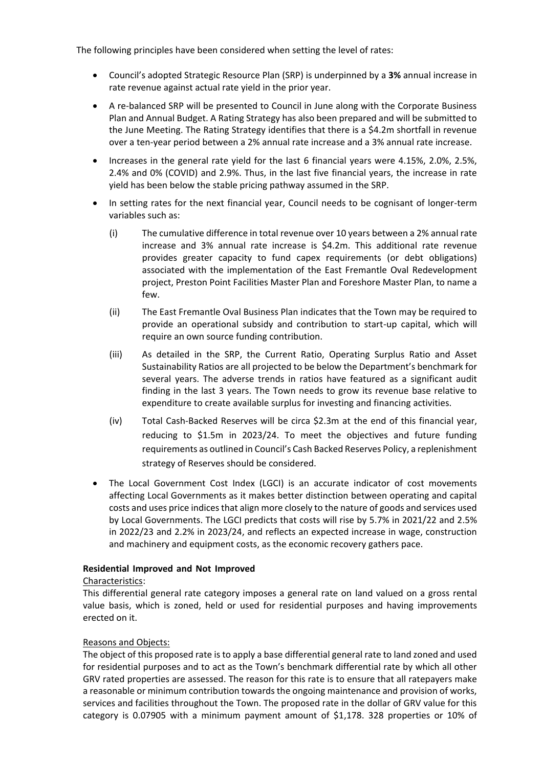The following principles have been considered when setting the level of rates:

- Council's adopted Strategic Resource Plan (SRP) is underpinned by a **3%** annual increase in rate revenue against actual rate yield in the prior year.
- A re-balanced SRP will be presented to Council in June along with the Corporate Business Plan and Annual Budget. A Rating Strategy has also been prepared and will be submitted to the June Meeting. The Rating Strategy identifies that there is a \$4.2m shortfall in revenue over a ten-year period between a 2% annual rate increase and a 3% annual rate increase.
- Increases in the general rate yield for the last 6 financial years were 4.15%, 2.0%, 2.5%, 2.4% and 0% (COVID) and 2.9%. Thus, in the last five financial years, the increase in rate yield has been below the stable pricing pathway assumed in the SRP.
- In setting rates for the next financial year, Council needs to be cognisant of longer-term variables such as:
	- (i) The cumulative difference in total revenue over 10 years between a 2% annual rate increase and 3% annual rate increase is \$4.2m. This additional rate revenue provides greater capacity to fund capex requirements (or debt obligations) associated with the implementation of the East Fremantle Oval Redevelopment project, Preston Point Facilities Master Plan and Foreshore Master Plan, to name a few.
	- (ii) The East Fremantle Oval Business Plan indicates that the Town may be required to provide an operational subsidy and contribution to start-up capital, which will require an own source funding contribution.
	- (iii) As detailed in the SRP, the Current Ratio, Operating Surplus Ratio and Asset Sustainability Ratios are all projected to be below the Department's benchmark for several years. The adverse trends in ratios have featured as a significant audit finding in the last 3 years. The Town needs to grow its revenue base relative to expenditure to create available surplus for investing and financing activities.
	- (iv) Total Cash-Backed Reserves will be circa \$2.3m at the end of this financial year, reducing to \$1.5m in 2023/24. To meet the objectives and future funding requirements as outlined in Council's Cash Backed Reserves Policy, a replenishment strategy of Reserves should be considered.
- The Local Government Cost Index (LGCI) is an accurate indicator of cost movements affecting Local Governments as it makes better distinction between operating and capital costs and uses price indices that align more closely to the nature of goods and services used by Local Governments. The LGCI predicts that costs will rise by 5.7% in 2021/22 and 2.5% in 2022/23 and 2.2% in 2023/24, and reflects an expected increase in wage, construction and machinery and equipment costs, as the economic recovery gathers pace.

## **Residential Improved and Not Improved**

## Characteristics:

This differential general rate category imposes a general rate on land valued on a gross rental value basis, which is zoned, held or used for residential purposes and having improvements erected on it.

## Reasons and Objects:

The object of this proposed rate is to apply a base differential general rate to land zoned and used for residential purposes and to act as the Town's benchmark differential rate by which all other GRV rated properties are assessed. The reason for this rate is to ensure that all ratepayers make a reasonable or minimum contribution towards the ongoing maintenance and provision of works, services and facilities throughout the Town. The proposed rate in the dollar of GRV value for this category is 0.07905 with a minimum payment amount of \$1,178. 328 properties or 10% of